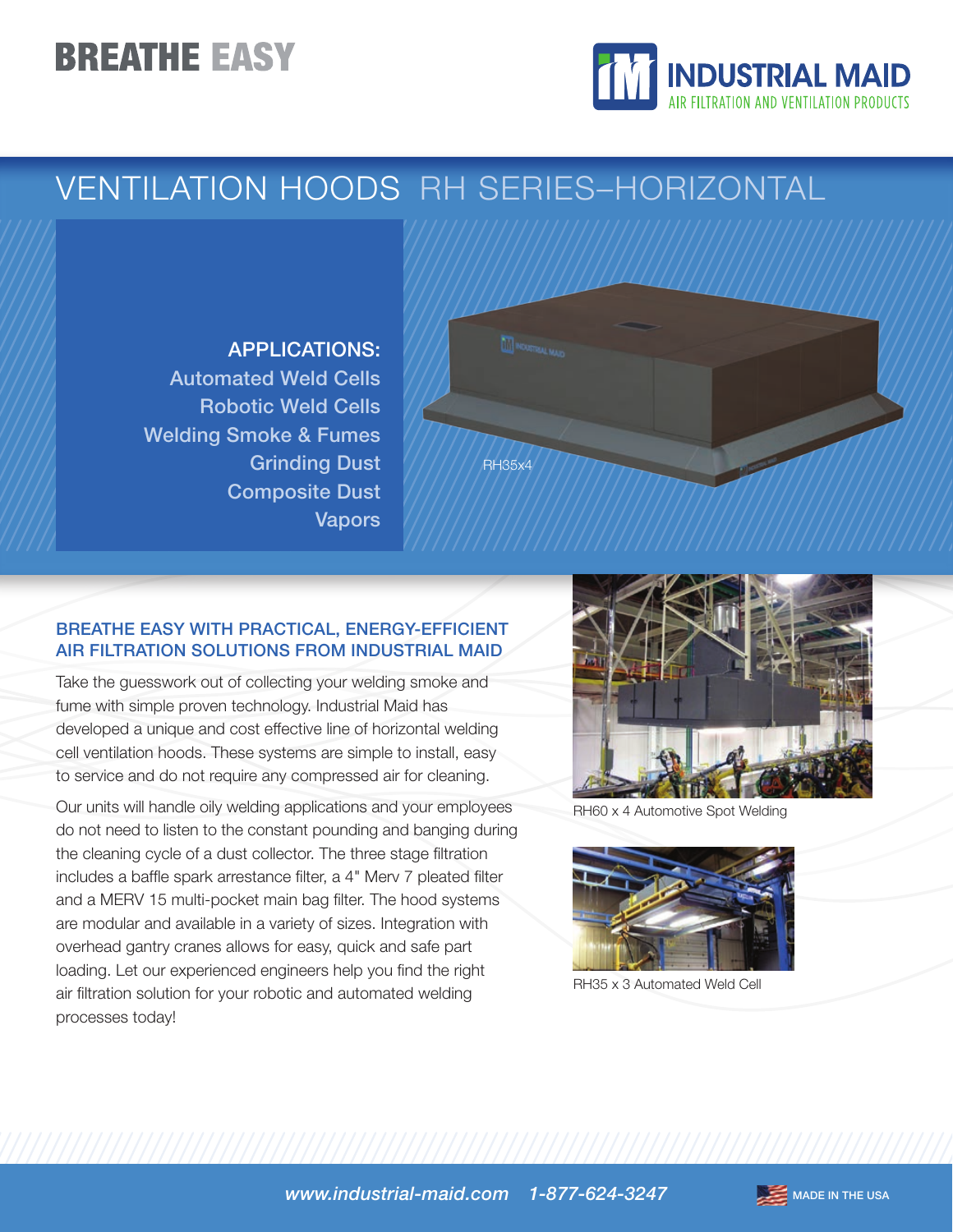# **BREATHE EASY**



### VENTILATION HOODS RH SERIES–HORIZONTAL

### APPLICATIONS:

Automated Weld Cells Robotic Weld Cells Welding Smoke & Fumes Grinding Dust Composite Dust Vapors



#### BREATHE EASY WITH PRACTICAL, ENERGY-EFFICIENT AIR FILTRATION SOLUTIONS FROM INDUSTRIAL MAID

Take the guesswork out of collecting your welding smoke and fume with simple proven technology. Industrial Maid has developed a unique and cost effective line of horizontal welding cell ventilation hoods. These systems are simple to install, easy to service and do not require any compressed air for cleaning.

Our units will handle oily welding applications and your employees do not need to listen to the constant pounding and banging during the cleaning cycle of a dust collector. The three stage filtration includes a baffle spark arrestance filter, a 4" Merv 7 pleated filter and a MERV 15 multi-pocket main bag filter. The hood systems are modular and available in a variety of sizes. Integration with overhead gantry cranes allows for easy, quick and safe part loading. Let our experienced engineers help you find the right air filtration solution for your robotic and automated welding processes today!



RH60 x 4 Automotive Spot Welding



RH35 x 3 Automated Weld Cell